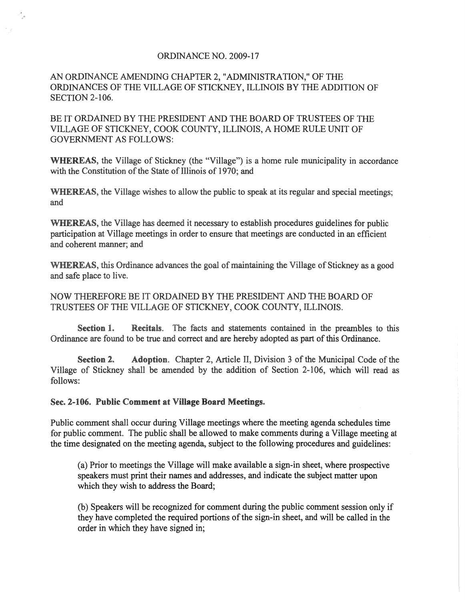## ORDINANCE NO. 2009-17

## AN ORDINANCE AMENDING CHAPTER 2, "ADMINISTRATION," OF THE ORDINANCES OF THE VILLAGE OF STICKNEY, ILLINOIS BY THE ADDITION OF SECTION 2-106.

BE IT ORDAINED BY THE PRESIDENT AND THE BOARD OF TRUSTEES OF THE VILLAGE OF STICKNEY, COOK COUNTY, ILLINOIS, A HOME RULE UNIT OF GOVERNMENT AS FOLLOWS:

WHEREAS, the Village of Stickney (the "Village") is a home rule municipality in accordance with the Constitution of the State of Illinois of 1970; and

WHEREAS, the Village wishes to allow the public to speak at its regular and special meetings; and

WHEREAS, the Village has deemed it necessary to establish procedures guidelines for public participation at Village meetings in order to ensure that meetings are conducted in an efficient and coherent manner; and

WHEREAS, this Ordinance advances the goal of maintaining the Village of Stickney as a good and safe place to live.

NOW THEREFORE BE IT ORDAINED BY THE PRESIDENT AND THE BOARD OF TRUSTEES OF THE VILLAGE OF STICKNEY, COOK COUNTY, ILLINOIS.

Section 1. Recitals. The facts and statements contained in the preambles to this Ordinance are found to be true and correct and are hereby adopted as part of this Ordinance.

Section 2. Adoption. Chapter 2, Article II, Division 3 of the Municipal Code of the Village of Stickney shall be amended by the addition of Section 2-106, which will read as follows:

## Sec. 2-106. Public Comment at Village Board Meetings.

Public comment shall occur during Village meetings where the meeting agenda schedules time for public comment. The public shall be allowed to make comments during a Village meeting at the time designated on the meeting agenda, subject to the following procedures and guidelines:

(a) Prior to meetings the Village will make available a sign-in sheet, where prospective speakers must print their names and addresses, and indicate the subject matter upon which they wish to address the Board;

(b) Speakers will be recognized for comment during the public comment session only if they have completed the required portions of the sign-in sheet, and will be called in the order in which they have signed in;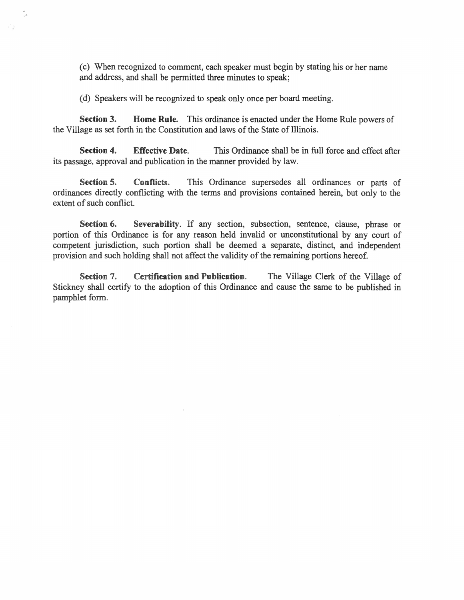(c) When recognized to comment, each speaker must begin by stating his or her name and address, and shall be permitted three minutes to speak;

(d) Speakers will be recognized to speak only once per board meeting.

Section 3. Home Rule. This ordinance is enacted under the Home Rule powers of the Village as set forth in the Constitution and laws of the State of Illinois.

Section 4. Effective Date. This Ordinance shall be in full force and effect after its passage, approval and publication in the manner provided by law.

Section 5. Conflicts. This Ordinance supersedes all ordinances or parts of ordinances directly conflicting with the terms and provisions contained herein, but only to the extent of such conflict.

Section 6. Severability. If any section, subsection, sentence, clause, phrase or portion of this Ordinance is for any reason held invalid or unconstitutional by any court of competent jurisdiction, such portion shall be deemed a separate, distinct, and independent provision and such holding shall not affect the validity of the remaining portions hereof.

Section 7. Certification and Publication. The Village Clerk of the Village of Stickney shall certify to the adoption of this Ordinance and cause the same to be published in pamphlet form.